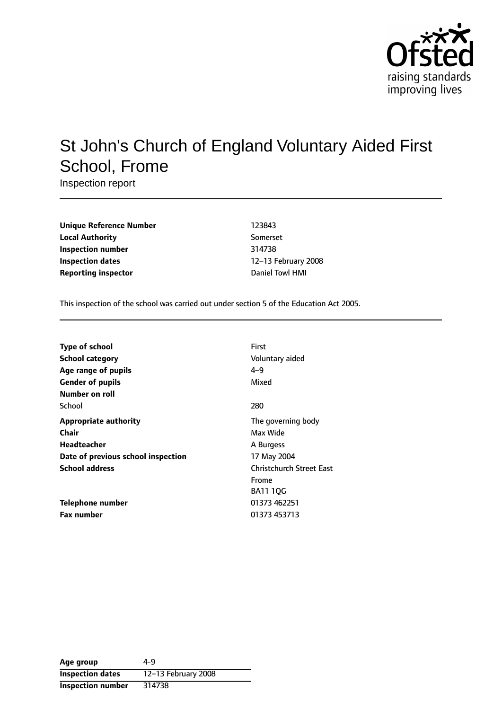

# St John's Church of England Voluntary Aided First School, Frome

Inspection report

| <b>Unique Reference Number</b> | 123843           |
|--------------------------------|------------------|
| <b>Local Authority</b>         | Somerset         |
| Inspection number              | 314738           |
| Inspection dates               | 12-13 February 2 |
| <b>Reporting inspector</b>     | Daniel Towl HMI  |

**Unique Reference Number** 123843 **Local Authority** Somerset **Inspection number** 314738 **12-13 February 2008** 

This inspection of the school was carried out under section 5 of the Education Act 2005.

| <b>Type of school</b><br><b>School category</b><br>Age range of pupils | First<br>Voluntary aided<br>$4 - 9$ |
|------------------------------------------------------------------------|-------------------------------------|
| <b>Gender of pupils</b>                                                | Mixed                               |
| Number on roll                                                         |                                     |
| School                                                                 | 280                                 |
| <b>Appropriate authority</b>                                           | The governing body                  |
| Chair                                                                  | Max Wide                            |
| Headteacher                                                            | A Burgess                           |
| Date of previous school inspection                                     | 17 May 2004                         |
| <b>School address</b>                                                  | <b>Christchurch Street East</b>     |
|                                                                        | Frome                               |
|                                                                        | <b>BA11 10G</b>                     |
| Telephone number                                                       | 01373 462251                        |
| <b>Fax number</b>                                                      | 01373 453713                        |

| Age group                | 4-9                 |
|--------------------------|---------------------|
| <b>Inspection dates</b>  | 12-13 February 2008 |
| <b>Inspection number</b> | 314738              |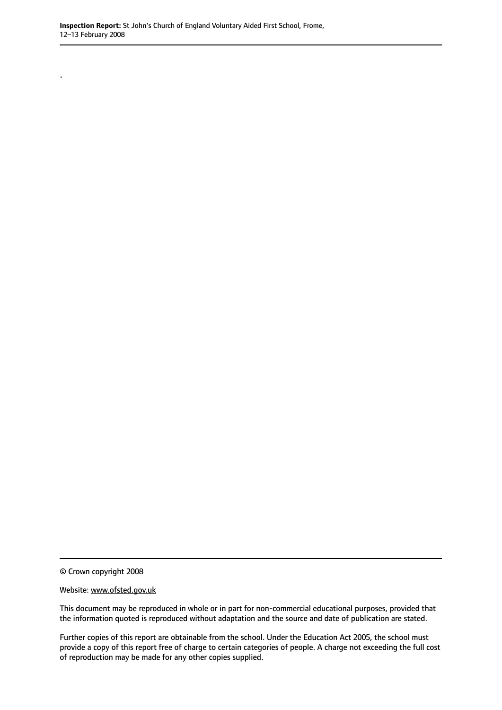.

© Crown copyright 2008

#### Website: www.ofsted.gov.uk

This document may be reproduced in whole or in part for non-commercial educational purposes, provided that the information quoted is reproduced without adaptation and the source and date of publication are stated.

Further copies of this report are obtainable from the school. Under the Education Act 2005, the school must provide a copy of this report free of charge to certain categories of people. A charge not exceeding the full cost of reproduction may be made for any other copies supplied.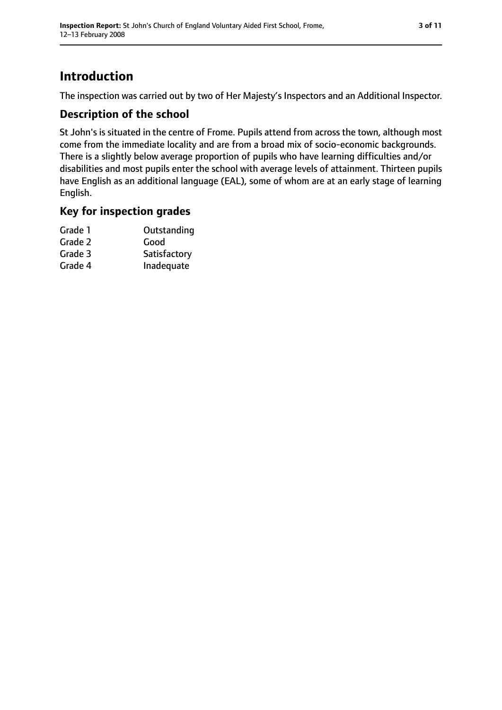## **Introduction**

The inspection was carried out by two of Her Majesty's Inspectors and an Additional Inspector.

### **Description of the school**

St John's is situated in the centre of Frome. Pupils attend from across the town, although most come from the immediate locality and are from a broad mix of socio-economic backgrounds. There is a slightly below average proportion of pupils who have learning difficulties and/or disabilities and most pupils enter the school with average levels of attainment. Thirteen pupils have English as an additional language (EAL), some of whom are at an early stage of learning English.

#### **Key for inspection grades**

| Grade 1 | Outstanding  |
|---------|--------------|
| Grade 2 | Good         |
| Grade 3 | Satisfactory |
| Grade 4 | Inadequate   |
|         |              |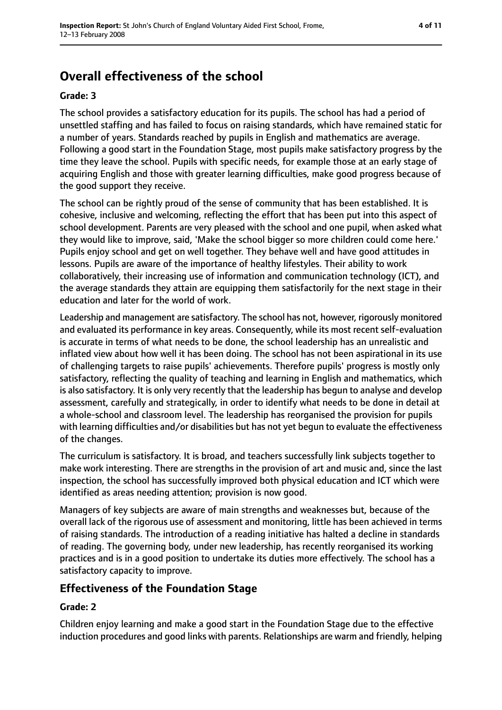## **Overall effectiveness of the school**

#### **Grade: 3**

The school provides a satisfactory education for its pupils. The school has had a period of unsettled staffing and has failed to focus on raising standards, which have remained static for a number of years. Standards reached by pupils in English and mathematics are average. Following a good start in the Foundation Stage, most pupils make satisfactory progress by the time they leave the school. Pupils with specific needs, for example those at an early stage of acquiring English and those with greater learning difficulties, make good progress because of the good support they receive.

The school can be rightly proud of the sense of community that has been established. It is cohesive, inclusive and welcoming, reflecting the effort that has been put into this aspect of school development. Parents are very pleased with the school and one pupil, when asked what they would like to improve, said, 'Make the school bigger so more children could come here.' Pupils enjoy school and get on well together. They behave well and have good attitudes in lessons. Pupils are aware of the importance of healthy lifestyles. Their ability to work collaboratively, their increasing use of information and communication technology (ICT), and the average standards they attain are equipping them satisfactorily for the next stage in their education and later for the world of work.

Leadership and management are satisfactory. The school has not, however, rigorously monitored and evaluated its performance in key areas. Consequently, while its most recent self-evaluation is accurate in terms of what needs to be done, the school leadership has an unrealistic and inflated view about how well it has been doing. The school has not been aspirational in its use of challenging targets to raise pupils' achievements. Therefore pupils' progress is mostly only satisfactory, reflecting the quality of teaching and learning in English and mathematics, which is also satisfactory. It is only very recently that the leadership has begun to analyse and develop assessment, carefully and strategically, in order to identify what needs to be done in detail at a whole-school and classroom level. The leadership has reorganised the provision for pupils with learning difficulties and/or disabilities but has not yet begun to evaluate the effectiveness of the changes.

The curriculum is satisfactory. It is broad, and teachers successfully link subjects together to make work interesting. There are strengths in the provision of art and music and, since the last inspection, the school has successfully improved both physical education and ICT which were identified as areas needing attention; provision is now good.

Managers of key subjects are aware of main strengths and weaknesses but, because of the overall lack of the rigorous use of assessment and monitoring, little has been achieved in terms of raising standards. The introduction of a reading initiative has halted a decline in standards of reading. The governing body, under new leadership, has recently reorganised its working practices and is in a good position to undertake its duties more effectively. The school has a satisfactory capacity to improve.

#### **Effectiveness of the Foundation Stage**

#### **Grade: 2**

Children enjoy learning and make a good start in the Foundation Stage due to the effective induction procedures and good links with parents. Relationships are warm and friendly, helping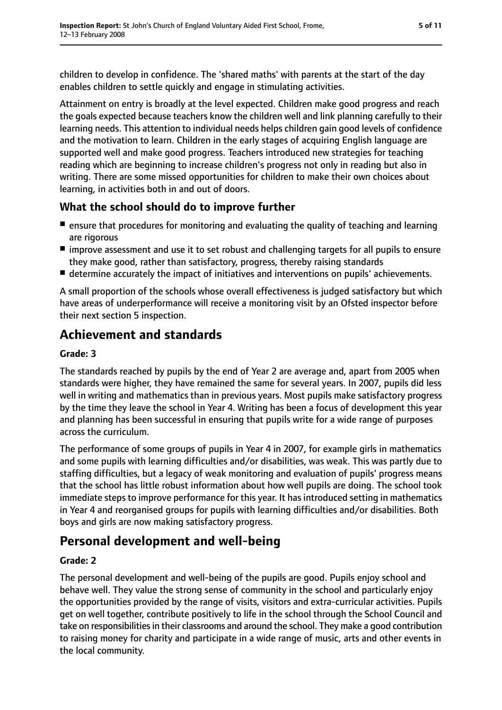children to develop in confidence. The 'shared maths' with parents at the start of the day enables children to settle quickly and engage in stimulating activities.

Attainment on entry is broadly at the level expected. Children make good progress and reach the goals expected because teachers know the children well and link planning carefully to their learning needs. This attention to individual needs helps children gain good levels of confidence and the motivation to learn. Children in the early stages of acquiring English language are supported well and make good progress. Teachers introduced new strategies for teaching reading which are beginning to increase children's progress not only in reading but also in writing. There are some missed opportunities for children to make their own choices about learning, in activities both in and out of doors.

## **What the school should do to improve further**

- ensure that procedures for monitoring and evaluating the quality of teaching and learning are rigorous
- improve assessment and use it to set robust and challenging targets for all pupils to ensure they make good, rather than satisfactory, progress, thereby raising standards
- determine accurately the impact of initiatives and interventions on pupils' achievements.

A small proportion of the schools whose overall effectiveness is judged satisfactory but which have areas of underperformance will receive a monitoring visit by an Ofsted inspector before their next section 5 inspection.

## **Achievement and standards**

#### **Grade: 3**

The standards reached by pupils by the end of Year 2 are average and, apart from 2005 when standards were higher, they have remained the same for several years. In 2007, pupils did less well in writing and mathematics than in previous years. Most pupils make satisfactory progress by the time they leave the school in Year 4. Writing has been a focus of development this year and planning has been successful in ensuring that pupils write for a wide range of purposes across the curriculum.

The performance of some groups of pupils in Year 4 in 2007, for example girls in mathematics and some pupils with learning difficulties and/or disabilities, was weak. This was partly due to staffing difficulties, but a legacy of weak monitoring and evaluation of pupils' progress means that the school has little robust information about how well pupils are doing. The school took immediate steps to improve performance for this year. It has introduced setting in mathematics in Year 4 and reorganised groups for pupils with learning difficulties and/or disabilities. Both boys and girls are now making satisfactory progress.

## **Personal development and well-being**

#### **Grade: 2**

The personal development and well-being of the pupils are good. Pupils enjoy school and behave well. They value the strong sense of community in the school and particularly enjoy the opportunities provided by the range of visits, visitors and extra-curricular activities. Pupils get on well together, contribute positively to life in the school through the School Council and take on responsibilities in their classrooms and around the school. They make a good contribution to raising money for charity and participate in a wide range of music, arts and other events in the local community.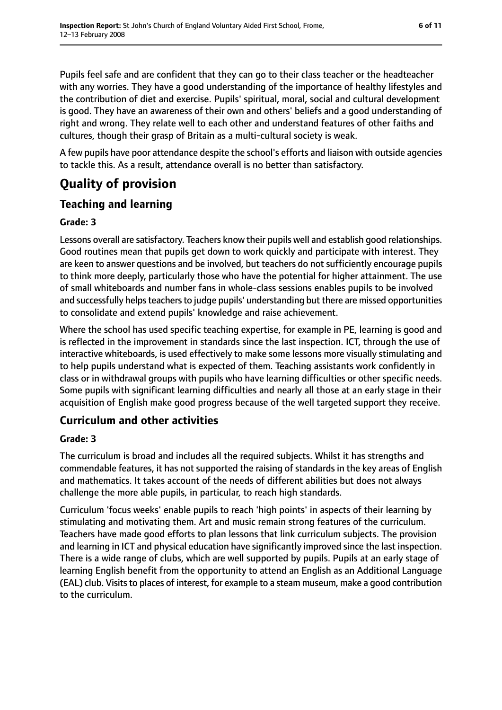Pupils feel safe and are confident that they can go to their class teacher or the headteacher with any worries. They have a good understanding of the importance of healthy lifestyles and the contribution of diet and exercise. Pupils' spiritual, moral, social and cultural development is good. They have an awareness of their own and others' beliefs and a good understanding of right and wrong. They relate well to each other and understand features of other faiths and cultures, though their grasp of Britain as a multi-cultural society is weak.

A few pupils have poor attendance despite the school's efforts and liaison with outside agencies to tackle this. As a result, attendance overall is no better than satisfactory.

## **Quality of provision**

## **Teaching and learning**

#### **Grade: 3**

Lessons overall are satisfactory. Teachers know their pupils well and establish good relationships. Good routines mean that pupils get down to work quickly and participate with interest. They are keen to answer questions and be involved, but teachers do not sufficiently encourage pupils to think more deeply, particularly those who have the potential for higher attainment. The use of small whiteboards and number fans in whole-class sessions enables pupils to be involved and successfully helps teachers to judge pupils' understanding but there are missed opportunities to consolidate and extend pupils' knowledge and raise achievement.

Where the school has used specific teaching expertise, for example in PE, learning is good and is reflected in the improvement in standards since the last inspection. ICT, through the use of interactive whiteboards, is used effectively to make some lessons more visually stimulating and to help pupils understand what is expected of them. Teaching assistants work confidently in class or in withdrawal groups with pupils who have learning difficulties or other specific needs. Some pupils with significant learning difficulties and nearly all those at an early stage in their acquisition of English make good progress because of the well targeted support they receive.

## **Curriculum and other activities**

#### **Grade: 3**

The curriculum is broad and includes all the required subjects. Whilst it has strengths and commendable features, it has not supported the raising of standards in the key areas of English and mathematics. It takes account of the needs of different abilities but does not always challenge the more able pupils, in particular, to reach high standards.

Curriculum 'focus weeks' enable pupils to reach 'high points' in aspects of their learning by stimulating and motivating them. Art and music remain strong features of the curriculum. Teachers have made good efforts to plan lessons that link curriculum subjects. The provision and learning in ICT and physical education have significantly improved since the last inspection. There is a wide range of clubs, which are well supported by pupils. Pupils at an early stage of learning English benefit from the opportunity to attend an English as an Additional Language (EAL) club. Visits to places of interest, for example to a steam museum, make a good contribution to the curriculum.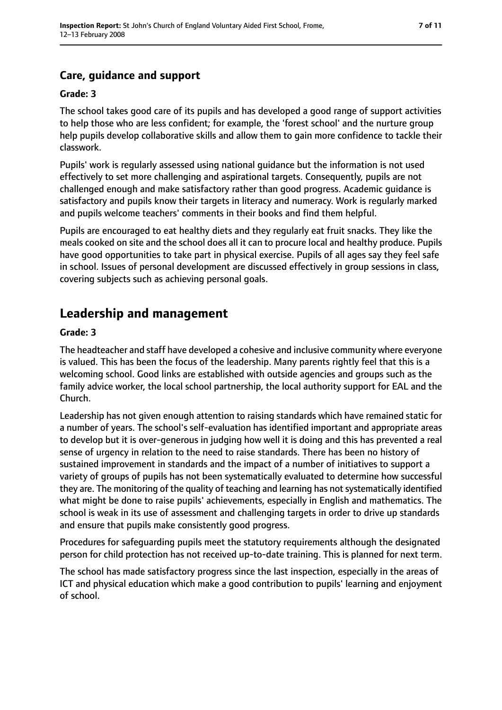## **Care, guidance and support**

#### **Grade: 3**

The school takes good care of its pupils and has developed a good range of support activities to help those who are less confident; for example, the 'forest school' and the nurture group help pupils develop collaborative skills and allow them to gain more confidence to tackle their classwork.

Pupils' work is regularly assessed using national guidance but the information is not used effectively to set more challenging and aspirational targets. Consequently, pupils are not challenged enough and make satisfactory rather than good progress. Academic guidance is satisfactory and pupils know their targets in literacy and numeracy. Work is regularly marked and pupils welcome teachers' comments in their books and find them helpful.

Pupils are encouraged to eat healthy diets and they regularly eat fruit snacks. They like the meals cooked on site and the school does all it can to procure local and healthy produce. Pupils have good opportunities to take part in physical exercise. Pupils of all ages say they feel safe in school. Issues of personal development are discussed effectively in group sessions in class, covering subjects such as achieving personal goals.

## **Leadership and management**

#### **Grade: 3**

The headteacher and staff have developed a cohesive and inclusive community where everyone is valued. This has been the focus of the leadership. Many parents rightly feel that this is a welcoming school. Good links are established with outside agencies and groups such as the family advice worker, the local school partnership, the local authority support for EAL and the Church.

Leadership has not given enough attention to raising standards which have remained static for a number of years. The school's self-evaluation has identified important and appropriate areas to develop but it is over-generous in judging how well it is doing and this has prevented a real sense of urgency in relation to the need to raise standards. There has been no history of sustained improvement in standards and the impact of a number of initiatives to support a variety of groups of pupils has not been systematically evaluated to determine how successful they are. The monitoring of the quality of teaching and learning has not systematically identified what might be done to raise pupils' achievements, especially in English and mathematics. The school is weak in its use of assessment and challenging targets in order to drive up standards and ensure that pupils make consistently good progress.

Procedures for safeguarding pupils meet the statutory requirements although the designated person for child protection has not received up-to-date training. This is planned for next term.

The school has made satisfactory progress since the last inspection, especially in the areas of ICT and physical education which make a good contribution to pupils' learning and enjoyment of school.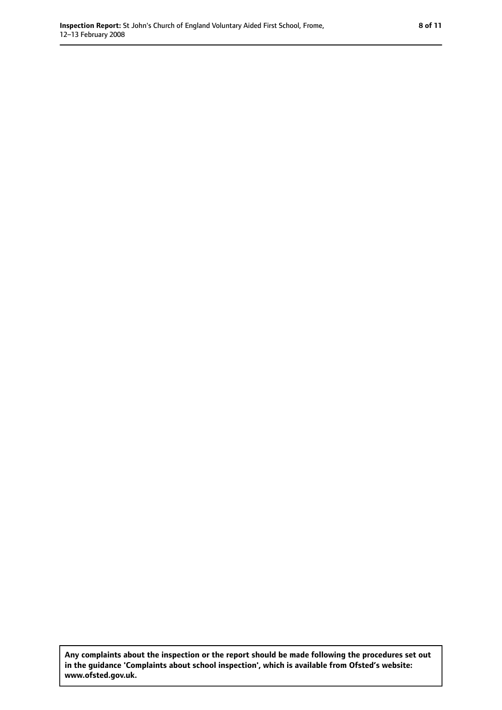**Any complaints about the inspection or the report should be made following the procedures set out in the guidance 'Complaints about school inspection', which is available from Ofsted's website: www.ofsted.gov.uk.**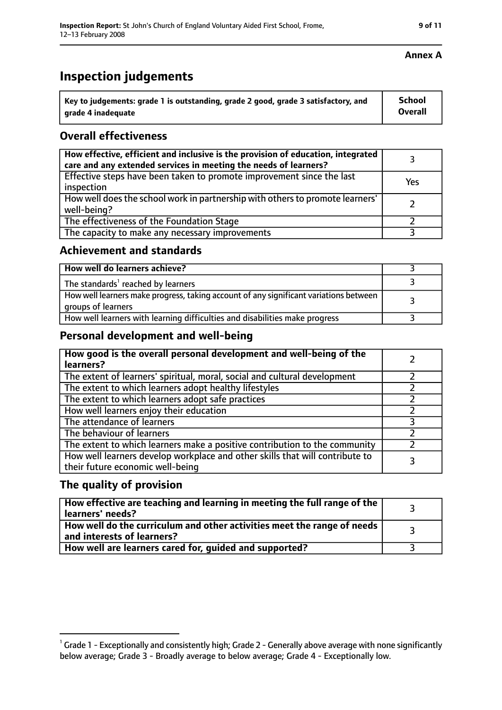| key to judgements: grade 1 is outstanding, grade 2 good, grade 3 satisfactory, and ا | School  |
|--------------------------------------------------------------------------------------|---------|
| arade 4 inadequate                                                                   | Overall |

### **Overall effectiveness**

| How effective, efficient and inclusive is the provision of education, integrated<br>care and any extended services in meeting the needs of learners? |     |
|------------------------------------------------------------------------------------------------------------------------------------------------------|-----|
| Effective steps have been taken to promote improvement since the last<br>inspection                                                                  | Yes |
| How well does the school work in partnership with others to promote learners'<br>well-being?                                                         |     |
| The effectiveness of the Foundation Stage                                                                                                            |     |
| The capacity to make any necessary improvements                                                                                                      |     |

#### **Achievement and standards**

| How well do learners achieve?                                                                               |  |
|-------------------------------------------------------------------------------------------------------------|--|
| The standards <sup>1</sup> reached by learners                                                              |  |
| How well learners make progress, taking account of any significant variations between<br>groups of learners |  |
| How well learners with learning difficulties and disabilities make progress                                 |  |

#### **Personal development and well-being**

| How good is the overall personal development and well-being of the<br>learners?                                  |  |
|------------------------------------------------------------------------------------------------------------------|--|
| The extent of learners' spiritual, moral, social and cultural development                                        |  |
| The extent to which learners adopt healthy lifestyles                                                            |  |
| The extent to which learners adopt safe practices                                                                |  |
| How well learners enjoy their education                                                                          |  |
| The attendance of learners                                                                                       |  |
| The behaviour of learners                                                                                        |  |
| The extent to which learners make a positive contribution to the community                                       |  |
| How well learners develop workplace and other skills that will contribute to<br>their future economic well-being |  |

#### **The quality of provision**

| How effective are teaching and learning in meeting the full range of the<br>learners' needs?          |  |
|-------------------------------------------------------------------------------------------------------|--|
| How well do the curriculum and other activities meet the range of needs<br>and interests of learners? |  |
| How well are learners cared for, guided and supported?                                                |  |

#### **Annex A**

 $^1$  Grade 1 - Exceptionally and consistently high; Grade 2 - Generally above average with none significantly below average; Grade 3 - Broadly average to below average; Grade 4 - Exceptionally low.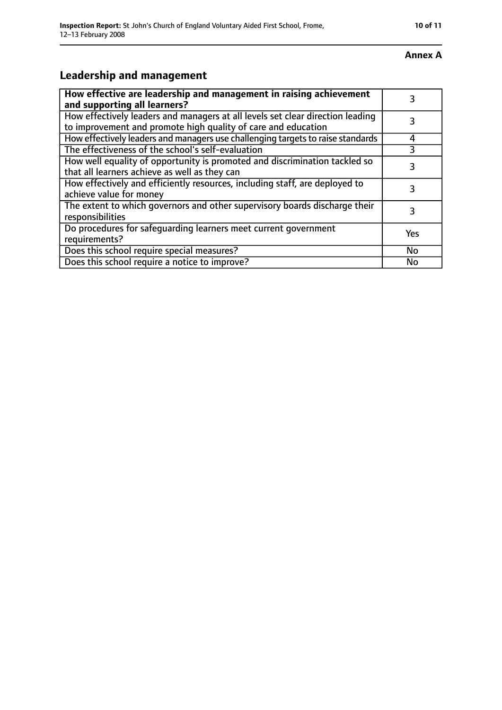#### **Annex A**

## **Leadership and management**

| How effective are leadership and management in raising achievement<br>and supporting all learners?                                              |     |
|-------------------------------------------------------------------------------------------------------------------------------------------------|-----|
| How effectively leaders and managers at all levels set clear direction leading<br>to improvement and promote high quality of care and education |     |
| How effectively leaders and managers use challenging targets to raise standards                                                                 | 4   |
| The effectiveness of the school's self-evaluation                                                                                               | 3   |
| How well equality of opportunity is promoted and discrimination tackled so<br>that all learners achieve as well as they can                     |     |
| How effectively and efficiently resources, including staff, are deployed to<br>achieve value for money                                          | 3   |
| The extent to which governors and other supervisory boards discharge their<br>responsibilities                                                  |     |
| Do procedures for safequarding learners meet current government<br>requirements?                                                                | Yes |
| Does this school require special measures?                                                                                                      | No  |
| Does this school require a notice to improve?                                                                                                   | No  |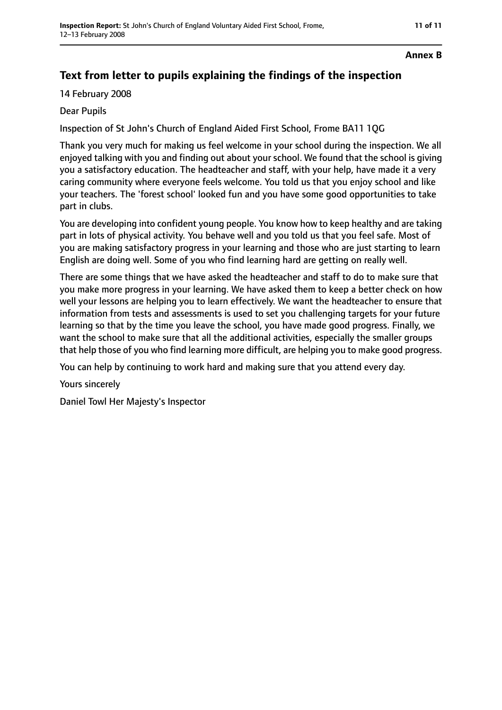#### **Annex B**

## **Text from letter to pupils explaining the findings of the inspection**

14 February 2008

### Dear Pupils

Inspection of St John's Church of England Aided First School, Frome BA11 1QG

Thank you very much for making us feel welcome in your school during the inspection. We all enjoyed talking with you and finding out about your school. We found that the school is giving you a satisfactory education. The headteacher and staff, with your help, have made it a very caring community where everyone feels welcome. You told us that you enjoy school and like your teachers. The 'forest school' looked fun and you have some good opportunities to take part in clubs.

You are developing into confident young people. You know how to keep healthy and are taking part in lots of physical activity. You behave well and you told us that you feel safe. Most of you are making satisfactory progress in your learning and those who are just starting to learn English are doing well. Some of you who find learning hard are getting on really well.

There are some things that we have asked the headteacher and staff to do to make sure that you make more progress in your learning. We have asked them to keep a better check on how well your lessons are helping you to learn effectively. We want the headteacher to ensure that information from tests and assessments is used to set you challenging targets for your future learning so that by the time you leave the school, you have made good progress. Finally, we want the school to make sure that all the additional activities, especially the smaller groups that help those of you who find learning more difficult, are helping you to make good progress.

You can help by continuing to work hard and making sure that you attend every day.

Yours sincerely

Daniel Towl Her Majesty's Inspector